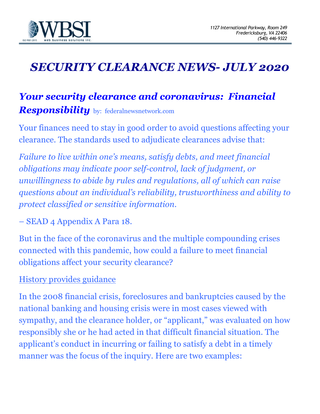

# *SECURITY CLEARANCE NEWS- JULY 2020*

## *Your security clearance and coronavirus: Financial Responsibility* by: federalnewsnetwork.com

Your finances need to stay in good order to avoid questions affecting your clearance. The standards used to adjudicate clearances advise that:

*Failure to live within one's means, satisfy debts, and meet financial obligations may indicate poor self-control, lack of judgment, or unwillingness to abide by rules and regulations, all of which can raise questions about an individual's reliability, trustworthiness and ability to protect classified or sensitive information.*

– SEAD 4 Appendix A Para 18.

But in the face of the coronavirus and the multiple compounding crises connected with this pandemic, how could a failure to meet financial obligations affect your security clearance?

### History provides guidance

In the 2008 financial crisis, foreclosures and bankruptcies caused by the national banking and housing crisis were in most cases viewed with sympathy, and the clearance holder, or "applicant," was evaluated on how responsibly she or he had acted in that difficult financial situation. The applicant's conduct in incurring or failing to satisfy a debt in a timely manner was the focus of the inquiry. Here are two examples: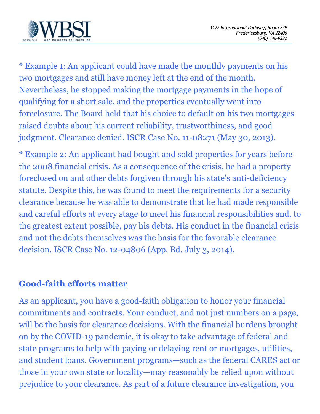

\* Example 1: An applicant could have made the monthly payments on his two mortgages and still have money left at the end of the month. Nevertheless, he stopped making the mortgage payments in the hope of qualifying for a short sale, and the properties eventually went into foreclosure. The Board held that his choice to default on his two mortgages raised doubts about his current reliability, trustworthiness, and good judgment. Clearance denied. ISCR Case No. 11-08271 (May 30, 2013).

\* Example 2: An applicant had bought and sold properties for years before the 2008 financial crisis. As a consequence of the crisis, he had a property foreclosed on and other debts forgiven through his state's anti-deficiency statute. Despite this, he was found to meet the requirements for a security clearance because he was able to demonstrate that he had made responsible and careful efforts at every stage to meet his financial responsibilities and, to the greatest extent possible, pay his debts. His conduct in the financial crisis and not the debts themselves was the basis for the favorable clearance decision. ISCR Case No. 12-04806 (App. Bd. July 3, 2014).

### **Good-faith efforts matter**

As an applicant, you have a good-faith obligation to honor your financial commitments and contracts. Your conduct, and not just numbers on a page, will be the basis for clearance decisions. With the financial burdens brought on by the COVID-19 pandemic, it is okay to take advantage of federal and state programs to help with paying or delaying rent or mortgages, utilities, and student loans. Government programs—such as the federal CARES act or those in your own state or locality—may reasonably be relied upon without prejudice to your clearance. As part of a future clearance investigation, you